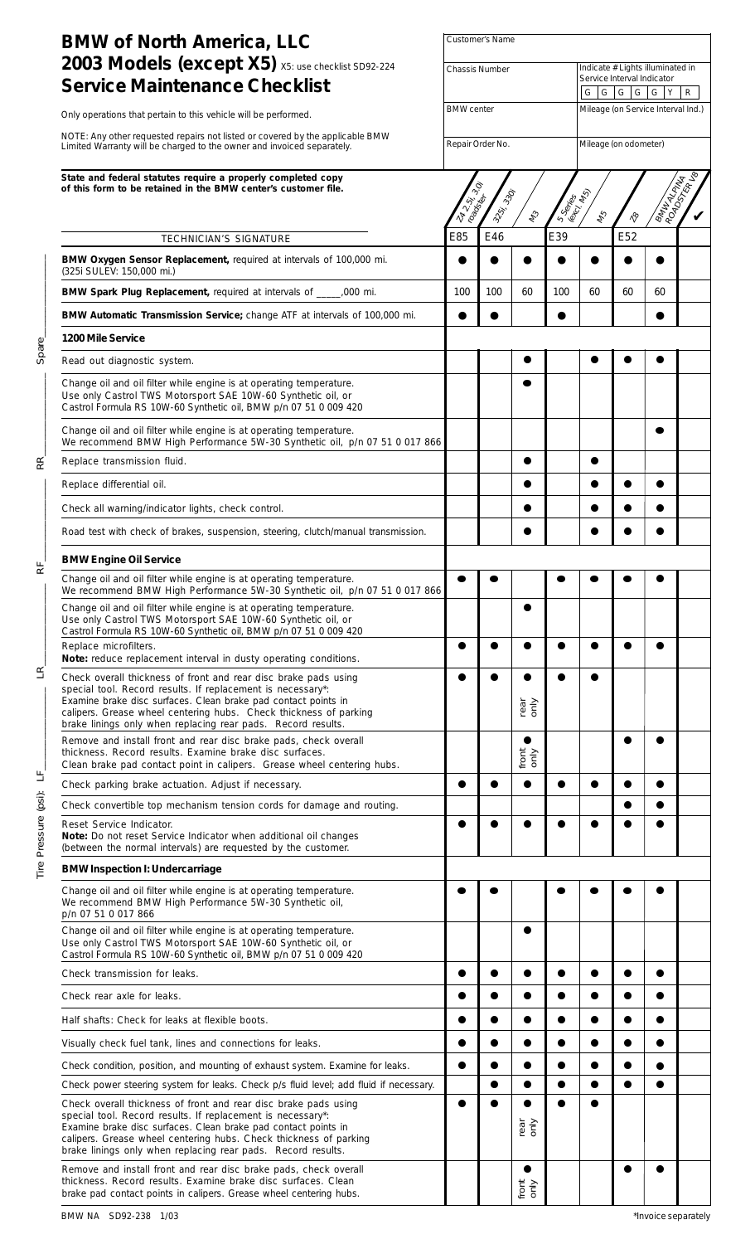| <b>BMW of North America, LLC</b>                                                                                                                                                                                                                                                                                                      | Customer's Name       |                                                                                                                                                                   |                            |     |                                                                                                                |           |                                    |  |  |  |  |
|---------------------------------------------------------------------------------------------------------------------------------------------------------------------------------------------------------------------------------------------------------------------------------------------------------------------------------------|-----------------------|-------------------------------------------------------------------------------------------------------------------------------------------------------------------|----------------------------|-----|----------------------------------------------------------------------------------------------------------------|-----------|------------------------------------|--|--|--|--|
| 2003 Models (except X5) X5: use checklist SD92-224<br><b>Service Maintenance Checklist</b>                                                                                                                                                                                                                                            | <b>Chassis Number</b> |                                                                                                                                                                   |                            |     | Indicate # Lights illuminated in<br>Service Interval Indicator<br>G G G G<br>$\mathsf{G}$<br>Y<br>$\mathsf{R}$ |           |                                    |  |  |  |  |
| Only operations that pertain to this vehicle will be performed.                                                                                                                                                                                                                                                                       | <b>BMW</b> center     |                                                                                                                                                                   |                            |     |                                                                                                                |           | Mileage (on Service Interval Ind.) |  |  |  |  |
| NOTE: Any other requested repairs not listed or covered by the applicable BMW                                                                                                                                                                                                                                                         | Repair Order No.      |                                                                                                                                                                   |                            |     | Mileage (on odometer)                                                                                          |           |                                    |  |  |  |  |
| Limited Warranty will be charged to the owner and invoiced separately.                                                                                                                                                                                                                                                                |                       |                                                                                                                                                                   |                            |     |                                                                                                                |           |                                    |  |  |  |  |
| State and federal statutes require a properly completed copy<br>of this form to be retained in the BMW center's customer file.                                                                                                                                                                                                        |                       | BIMILADA<br>$\mathcal{S}_{\mathcal{C}}$<br>3-25; 330;<br>S Series<br>(excl. fes<br>roadores<br><b>NAV ST</b><br>$\ell_2$<br>$\gamma^\text{\!O}_\text{\!V}$<br>145 |                            |     |                                                                                                                |           |                                    |  |  |  |  |
| TECHNICIAN'S SIGNATURE                                                                                                                                                                                                                                                                                                                | E85                   | E46                                                                                                                                                               |                            | E39 |                                                                                                                | E52       |                                    |  |  |  |  |
| BMW Oxygen Sensor Replacement, required at intervals of 100,000 mi.<br>(325i SULEV: 150,000 mi.)                                                                                                                                                                                                                                      |                       |                                                                                                                                                                   |                            |     |                                                                                                                |           |                                    |  |  |  |  |
| BMW Spark Plug Replacement, required at intervals of _____,000 mi.                                                                                                                                                                                                                                                                    | 100                   | 100                                                                                                                                                               | 60                         | 100 | 60                                                                                                             | 60        | 60                                 |  |  |  |  |
| BMW Automatic Transmission Service; change ATF at intervals of 100,000 mi.                                                                                                                                                                                                                                                            |                       |                                                                                                                                                                   |                            |     |                                                                                                                |           |                                    |  |  |  |  |
| 1200 Mile Service                                                                                                                                                                                                                                                                                                                     |                       |                                                                                                                                                                   |                            |     |                                                                                                                |           |                                    |  |  |  |  |
| Read out diagnostic system.                                                                                                                                                                                                                                                                                                           |                       |                                                                                                                                                                   |                            |     |                                                                                                                |           |                                    |  |  |  |  |
| Change oil and oil filter while engine is at operating temperature.<br>Use only Castrol TWS Motorsport SAE 10W-60 Synthetic oil, or<br>Castrol Formula RS 10W-60 Synthetic oil, BMW p/n 07 51 0 009 420                                                                                                                               |                       |                                                                                                                                                                   |                            |     |                                                                                                                |           |                                    |  |  |  |  |
| Change oil and oil filter while engine is at operating temperature.<br>We recommend BMW High Performance 5W-30 Synthetic oil, p/n 07 51 0 017 866                                                                                                                                                                                     |                       |                                                                                                                                                                   |                            |     |                                                                                                                |           |                                    |  |  |  |  |
| Replace transmission fluid.                                                                                                                                                                                                                                                                                                           |                       |                                                                                                                                                                   |                            |     |                                                                                                                |           |                                    |  |  |  |  |
| Replace differential oil.                                                                                                                                                                                                                                                                                                             |                       |                                                                                                                                                                   |                            |     |                                                                                                                |           |                                    |  |  |  |  |
| Check all warning/indicator lights, check control.                                                                                                                                                                                                                                                                                    |                       |                                                                                                                                                                   |                            |     |                                                                                                                |           |                                    |  |  |  |  |
| Road test with check of brakes, suspension, steering, clutch/manual transmission.                                                                                                                                                                                                                                                     |                       |                                                                                                                                                                   |                            |     |                                                                                                                |           |                                    |  |  |  |  |
| <b>BMW Engine Oil Service</b>                                                                                                                                                                                                                                                                                                         |                       |                                                                                                                                                                   |                            |     |                                                                                                                |           |                                    |  |  |  |  |
| Change oil and oil filter while engine is at operating temperature.<br>We recommend BMW High Performance 5W-30 Synthetic oil, p/n 07 51 0 017 866                                                                                                                                                                                     |                       |                                                                                                                                                                   |                            |     |                                                                                                                |           |                                    |  |  |  |  |
| Change oil and oil filter while engine is at operating temperature.<br>Use only Castrol TWS Motorsport SAE 10W-60 Synthetic oil, or<br>Castrol Formula RS 10W-60 Synthetic oil, BMW p/n 07 51 0 009 420                                                                                                                               |                       |                                                                                                                                                                   |                            |     |                                                                                                                |           |                                    |  |  |  |  |
| Replace microfilters.<br>Note: reduce replacement interval in dusty operating conditions.                                                                                                                                                                                                                                             | ●                     |                                                                                                                                                                   |                            |     |                                                                                                                |           |                                    |  |  |  |  |
| Check overall thickness of front and rear disc brake pads using<br>special tool. Record results. If replacement is necessary*:<br>Examine brake disc surfaces. Clean brake pad contact points in<br>calipers. Grease wheel centering hubs. Check thickness of parking<br>brake linings only when replacing rear pads. Record results. |                       |                                                                                                                                                                   | rear<br>only               |     |                                                                                                                |           |                                    |  |  |  |  |
| Remove and install front and rear disc brake pads, check overall<br>thickness. Record results. Examine brake disc surfaces.<br>Clean brake pad contact point in calipers. Grease wheel centering hubs.                                                                                                                                |                       |                                                                                                                                                                   | ●<br>front<br>only         |     |                                                                                                                | e         |                                    |  |  |  |  |
| Check parking brake actuation. Adjust if necessary.                                                                                                                                                                                                                                                                                   | $\bullet$             | ●                                                                                                                                                                 | $\bullet$                  | ●   | $\bullet$                                                                                                      | ●         |                                    |  |  |  |  |
| Check convertible top mechanism tension cords for damage and routing.                                                                                                                                                                                                                                                                 |                       |                                                                                                                                                                   |                            |     |                                                                                                                |           |                                    |  |  |  |  |
| Reset Service Indicator.<br>Note: Do not reset Service Indicator when additional oil changes<br>(between the normal intervals) are requested by the customer.                                                                                                                                                                         |                       |                                                                                                                                                                   |                            |     |                                                                                                                |           |                                    |  |  |  |  |
| <b>BMW Inspection I: Undercarriage</b>                                                                                                                                                                                                                                                                                                |                       |                                                                                                                                                                   |                            |     |                                                                                                                |           |                                    |  |  |  |  |
| Change oil and oil filter while engine is at operating temperature.<br>We recommend BMW High Performance 5W-30 Synthetic oil,<br>p/n 07 51 0 017 866                                                                                                                                                                                  |                       |                                                                                                                                                                   |                            |     |                                                                                                                |           |                                    |  |  |  |  |
| Change oil and oil filter while engine is at operating temperature.<br>Use only Castrol TWS Motorsport SAE 10W-60 Synthetic oil, or<br>Castrol Formula RS 10W-60 Synthetic oil, BMW p/n 07 51 0 009 420                                                                                                                               |                       |                                                                                                                                                                   |                            |     |                                                                                                                |           |                                    |  |  |  |  |
| Check transmission for leaks.                                                                                                                                                                                                                                                                                                         |                       |                                                                                                                                                                   |                            |     |                                                                                                                |           |                                    |  |  |  |  |
| Check rear axle for leaks.                                                                                                                                                                                                                                                                                                            |                       |                                                                                                                                                                   |                            |     |                                                                                                                |           |                                    |  |  |  |  |
| Half shafts: Check for leaks at flexible boots.                                                                                                                                                                                                                                                                                       |                       |                                                                                                                                                                   |                            |     |                                                                                                                |           |                                    |  |  |  |  |
| Visually check fuel tank, lines and connections for leaks.                                                                                                                                                                                                                                                                            |                       |                                                                                                                                                                   |                            |     |                                                                                                                |           |                                    |  |  |  |  |
| Check condition, position, and mounting of exhaust system. Examine for leaks.                                                                                                                                                                                                                                                         |                       | 0                                                                                                                                                                 | 0                          |     |                                                                                                                |           |                                    |  |  |  |  |
| Check power steering system for leaks. Check p/s fluid level; add fluid if necessary.                                                                                                                                                                                                                                                 |                       | $\bullet$                                                                                                                                                         |                            |     |                                                                                                                |           |                                    |  |  |  |  |
| Check overall thickness of front and rear disc brake pads using<br>special tool. Record results. If replacement is necessary*:<br>Examine brake disc surfaces. Clean brake pad contact points in<br>calipers. Grease wheel centering hubs. Check thickness of parking<br>brake linings only when replacing rear pads. Record results. | О                     |                                                                                                                                                                   | rear<br>only               |     |                                                                                                                |           |                                    |  |  |  |  |
| Remove and install front and rear disc brake pads, check overall<br>thickness. Record results. Examine brake disc surfaces. Clean<br>brake pad contact points in calipers. Grease wheel centering hubs.                                                                                                                               |                       |                                                                                                                                                                   | $\bullet$<br>front<br>only |     |                                                                                                                | $\bullet$ |                                    |  |  |  |  |

Tire Pressure (psi): LF\_\_\_\_\_\_\_\_\_\_\_\_\_\_\_\_ LR\_\_\_\_\_\_\_\_\_\_\_\_\_\_\_\_ RF\_\_\_\_\_\_\_\_\_\_\_\_\_\_\_\_ RR\_\_\_\_\_\_\_\_\_\_\_\_\_\_\_\_ Spare\_\_\_\_\_\_\_\_\_\_\_\_\_\_\_\_

 $R_{I}$ 

 $E_{\parallel}$ 

Tire Pressure (psi): LF

 $R_{I}$ 

Spare\_